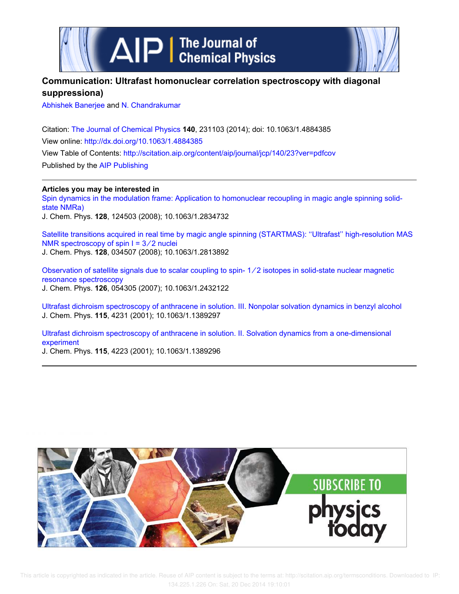

## **Communication: Ultrafast homonuclear correlation spectroscopy with diagonal suppressiona)**

Abhishek Banerjee and N. Chandrakumar

Citation: The Journal of Chemical Physics **140**, 231103 (2014); doi: 10.1063/1.4884385 View online: http://dx.doi.org/10.1063/1.4884385 View Table of Contents: http://scitation.aip.org/content/aip/journal/jcp/140/23?ver=pdfcov Published by the AIP Publishing

**Articles you may be interested in**

Spin dynamics in the modulation frame: Application to homonuclear recoupling in magic angle spinning solidstate NMRa)

J. Chem. Phys. **128**, 124503 (2008); 10.1063/1.2834732

Satellite transitions acquired in real time by magic angle spinning (STARTMAS): ''Ultrafast'' high-resolution MAS NMR spectroscopy of spin  $I = 3/2$  nuclei J. Chem. Phys. **128**, 034507 (2008); 10.1063/1.2813892

Observation of satellite signals due to scalar coupling to spin- 1 ∕ 2 isotopes in solid-state nuclear magnetic resonance spectroscopy J. Chem. Phys. **126**, 054305 (2007); 10.1063/1.2432122

Ultrafast dichroism spectroscopy of anthracene in solution. III. Nonpolar solvation dynamics in benzyl alcohol J. Chem. Phys. **115**, 4231 (2001); 10.1063/1.1389297

Ultrafast dichroism spectroscopy of anthracene in solution. II. Solvation dynamics from a one-dimensional experiment

J. Chem. Phys. **115**, 4223 (2001); 10.1063/1.1389296

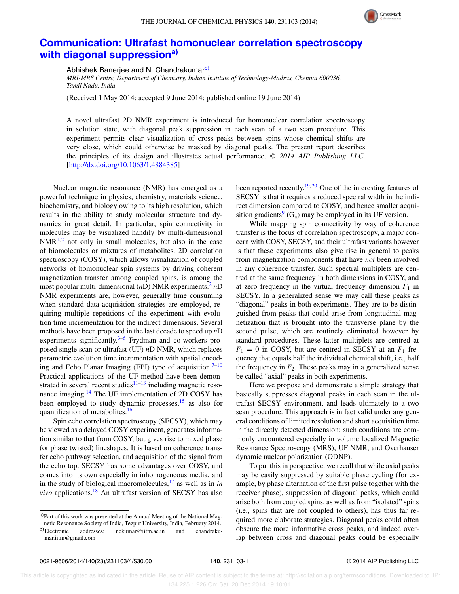

## **Communication: Ultrafast homonuclear correlation spectroscopy with diagonal suppressiona)**

Abhishek Banerjee and N. Chandrakumarb)

*MRI-MRS Centre, Department of Chemistry, Indian Institute of Technology-Madras, Chennai 600036, Tamil Nadu, India*

(Received 1 May 2014; accepted 9 June 2014; published online 19 June 2014)

A novel ultrafast 2D NMR experiment is introduced for homonuclear correlation spectroscopy in solution state, with diagonal peak suppression in each scan of a two scan procedure. This experiment permits clear visualization of cross peaks between spins whose chemical shifts are very close, which could otherwise be masked by diagonal peaks. The present report describes the principles of its design and illustrates actual performance. *© 2014 AIP Publishing LLC*. [http://dx.doi.org/10.1063/1.4884385]

Nuclear magnetic resonance (NMR) has emerged as a powerful technique in physics, chemistry, materials science, biochemistry, and biology owing to its high resolution, which results in the ability to study molecular structure and dynamics in great detail. In particular, spin connectivity in molecules may be visualized handily by multi-dimensional  $NMR<sup>1,2</sup>$  not only in small molecules, but also in the case of biomolecules or mixtures of metabolites. 2D correlation spectroscopy (COSY), which allows visualization of coupled networks of homonuclear spin systems by driving coherent magnetization transfer among coupled spins, is among the most popular multi-dimensional (*n*D) NMR experiments.<sup>2</sup> *n*D NMR experiments are, however, generally time consuming when standard data acquisition strategies are employed, requiring multiple repetitions of the experiment with evolution time incrementation for the indirect dimensions. Several methods have been proposed in the last decade to speed up *n*D experiments significantly. $3-6$  Frydman and co-workers proposed single scan or ultrafast (UF) *n*D NMR, which replaces parametric evolution time incrementation with spatial encoding and Echo Planar Imaging (EPI) type of acquisition.<sup>7-10</sup> Practical applications of the UF method have been demonstrated in several recent studies $11-13$  including magnetic resonance imaging.<sup>14</sup> The UF implementation of 2D COSY has been employed to study dynamic processes,  $15$  as also for quantification of metabolites.<sup>16</sup>

Spin echo correlation spectroscopy (SECSY), which may be viewed as a delayed COSY experiment, generates information similar to that from COSY, but gives rise to mixed phase (or phase twisted) lineshapes. It is based on coherence transfer echo pathway selection, and acquisition of the signal from the echo top. SECSY has some advantages over COSY, and comes into its own especially in inhomogeneous media, and in the study of biological macromolecules,  $17$  as well as in *in vivo* applications.<sup>18</sup> An ultrafast version of SECSY has also

a)Part of this work was presented at the Annual Meeting of the National Magnetic Resonance Society of India, Tezpur University, India, February 2014.

been reported recently.<sup>19, 20</sup> One of the interesting features of SECSY is that it requires a reduced spectral width in the indirect dimension compared to COSY, and hence smaller acquisition gradients<sup>9</sup>  $(G_a)$  may be employed in its UF version.

While mapping spin connectivity by way of coherence transfer is the focus of correlation spectroscopy, a major concern with COSY, SECSY, and their ultrafast variants however is that these experiments also give rise in general to peaks from magnetization components that have *not* been involved in any coherence transfer. Such spectral multiplets are centred at the same frequency in both dimensions in COSY, and at zero frequency in the virtual frequency dimension  $F_1$  in SECSY. In a generalized sense we may call these peaks as "diagonal" peaks in both experiments. They are to be distinguished from peaks that could arise from longitudinal magnetization that is brought into the transverse plane by the second pulse, which are routinely eliminated however by standard procedures. These latter multiplets are centred at  $F_1 = 0$  in COSY, but are centred in SECSY at an  $F_1$  frequency that equals half the individual chemical shift, i.e., half the frequency in  $F_2$ . These peaks may in a generalized sense be called "axial" peaks in both experiments.

Here we propose and demonstrate a simple strategy that basically suppresses diagonal peaks in each scan in the ultrafast SECSY environment, and leads ultimately to a two scan procedure. This approach is in fact valid under any general conditions of limited resolution and short acquisition time in the directly detected dimension; such conditions are commonly encountered especially in volume localized Magnetic Resonance Spectroscopy (MRS), UF NMR, and Overhauser dynamic nuclear polarization (ODNP).

To put this in perspective, we recall that while axial peaks may be easily suppressed by suitable phase cycling (for example, by phase alternation of the first pulse together with the receiver phase), suppression of diagonal peaks, which could arise both from coupled spins, as well as from "isolated" spins (i.e., spins that are not coupled to others), has thus far required more elaborate strategies. Diagonal peaks could often obscure the more informative cross peaks, and indeed overlap between cross and diagonal peaks could be especially

b)Electronic addresses: nckumar@iitm.ac.in and chandrakumar.iitm@gmail.com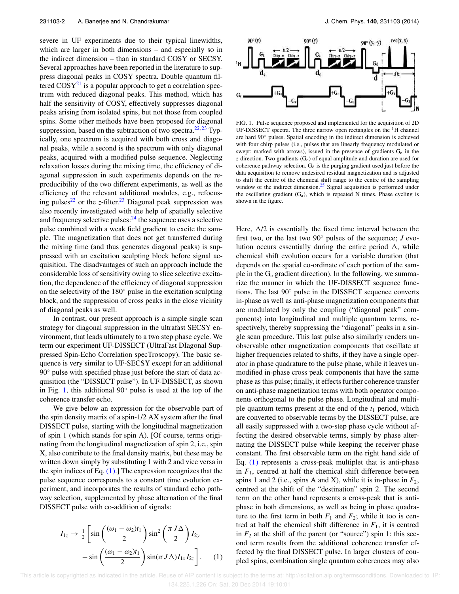severe in UF experiments due to their typical linewidths, which are larger in both dimensions – and especially so in the indirect dimension – than in standard COSY or SECSY. Several approaches have been reported in the literature to suppress diagonal peaks in COSY spectra. Double quantum filtered  $\text{COSY}^{21}$  is a popular approach to get a correlation spectrum with reduced diagonal peaks. This method, which has half the sensitivity of COSY, effectively suppresses diagonal peaks arising from isolated spins, but not those from coupled spins. Some other methods have been proposed for diagonal suppression, based on the subtraction of two spectra.<sup>22, 23</sup> Typically, one spectrum is acquired with both cross and diagonal peaks, while a second is the spectrum with only diagonal peaks, acquired with a modified pulse sequence. Neglecting relaxation losses during the mixing time, the efficiency of diagonal suppression in such experiments depends on the reproducibility of the two different experiments, as well as the efficiency of the relevant additional modules, e.g., refocusing pulses<sup>22</sup> or the *z*-filter.<sup>23</sup> Diagonal peak suppression was also recently investigated with the help of spatially selective and frequency selective pulses: $^{24}$  the sequence uses a selective pulse combined with a weak field gradient to excite the sample. The magnetization that does not get transferred during the mixing time (and thus generates diagonal peaks) is suppressed with an excitation sculpting block before signal acquisition. The disadvantages of such an approach include the considerable loss of sensitivity owing to slice selective excitation, the dependence of the efficiency of diagonal suppression on the selectivity of the 180◦ pulse in the excitation sculpting block, and the suppression of cross peaks in the close vicinity of diagonal peaks as well.

In contrast, our present approach is a simple single scan strategy for diagonal suppression in the ultrafast SECSY environment, that leads ultimately to a two step phase cycle. We term our experiment UF-DISSECT (UltraFast DIagonal Suppressed Spin-Echo Correlation specTroscopy). The basic sequence is very similar to UF-SECSY except for an additional 90<sup>°</sup> pulse with specified phase just before the start of data acquisition (the "DISSECT pulse"). In UF-DISSECT, as shown in Fig. 1, this additional  $90^\circ$  pulse is used at the top of the coherence transfer echo.

We give below an expression for the observable part of the spin density matrix of a spin-1/2 AX system after the final DISSECT pulse, starting with the longitudinal magnetization of spin 1 (which stands for spin A). [Of course, terms originating from the longitudinal magnetization of spin 2, i.e., spin X, also contribute to the final density matrix, but these may be written down simply by substituting 1 with 2 and vice versa in the spin indices of Eq.  $(1)$ . The expression recognizes that the pulse sequence corresponds to a constant time evolution experiment, and incorporates the results of standard echo pathway selection, supplemented by phase alternation of the final DISSECT pulse with co-addition of signals:

$$
I_{1z} \rightarrow \frac{1}{2} \left[ \sin\left(\frac{(\omega_1 - \omega_2)t_1}{2}\right) \sin^2\left(\frac{\pi J \Delta}{2}\right) I_{2y} - \sin\left(\frac{(\omega_1 - \omega_2)t_1}{2}\right) \sin(\pi J \Delta) I_{1x} I_{2z} \right].
$$
 (1)



FIG. 1. Pulse sequence proposed and implemented for the acquisition of 2D UF-DISSECT spectra. The three narrow open rectangles on the  ${}^{1}H$  channel are hard 90◦ pulses. Spatial encoding in the indirect dimension is achieved with four chirp pulses (i.e., pulses that are linearly frequency modulated or swept; marked with arrows), issued in the presence of gradients  $G_e$  in the *z*-direction. Two gradients  $(G<sub>c</sub>)$  of equal amplitude and duration are used for coherence pathway selection.  $G_d$  is the purging gradient used just before the data acquisition to remove undesired residual magnetization and is adjusted to shift the centre of the chemical shift range to the centre of the sampling window of the indirect dimension.<sup>25</sup> Signal acquisition is performed under the oscillating gradient  $(G_a)$ , which is repeated N times. Phase cycling is shown in the figure.

Here,  $\Delta/2$  is essentially the fixed time interval between the first two, or the last two 90◦ pulses of the sequence; *J* evolution occurs essentially during the entire period  $\Delta$ , while chemical shift evolution occurs for a variable duration (that depends on the spatial co-ordinate of each portion of the sample in the  $G_e$  gradient direction). In the following, we summarize the manner in which the UF-DISSECT sequence functions. The last 90◦ pulse in the DISSECT sequence converts in-phase as well as anti-phase magnetization components that are modulated by only the coupling ("diagonal peak" components) into longitudinal and multiple quantum terms, respectively, thereby suppressing the "diagonal" peaks in a single scan procedure. This last pulse also similarly renders unobservable other magnetization components that oscillate at higher frequencies related to shifts, if they have a single operator in phase quadrature to the pulse phase, while it leaves unmodified in-phase cross peak components that have the same phase as this pulse; finally, it effects further coherence transfer on anti-phase magnetization terms with both operator components orthogonal to the pulse phase. Longitudinal and multiple quantum terms present at the end of the  $t_1$  period, which are converted to observable terms by the DISSECT pulse, are all easily suppressed with a two-step phase cycle without affecting the desired observable terms, simply by phase alternating the DISSECT pulse while keeping the receiver phase constant. The first observable term on the right hand side of Eq. (1) represents a cross-peak multiplet that is anti-phase in  $F_1$ , centred at half the chemical shift difference between spins 1 and 2 (i.e., spins A and X), while it is in-phase in  $F_2$ , centred at the shift of the "destination" spin 2. The second term on the other hand represents a cross-peak that is antiphase in both dimensions, as well as being in phase quadrature to the first term in both  $F_1$  and  $F_2$ ; while it too is centred at half the chemical shift difference in  $F_1$ , it is centred in  $F_2$  at the shift of the parent (or "source") spin 1: this second term results from the additional coherence transfer effected by the final DISSECT pulse. In larger clusters of coupled spins, combination single quantum coherences may also

 This article is copyrighted as indicated in the article. Reuse of AIP content is subject to the terms at: http://scitation.aip.org/termsconditions. Downloaded to IP: 134.225.1.226 On: Sat, 20 Dec 2014 19:10:01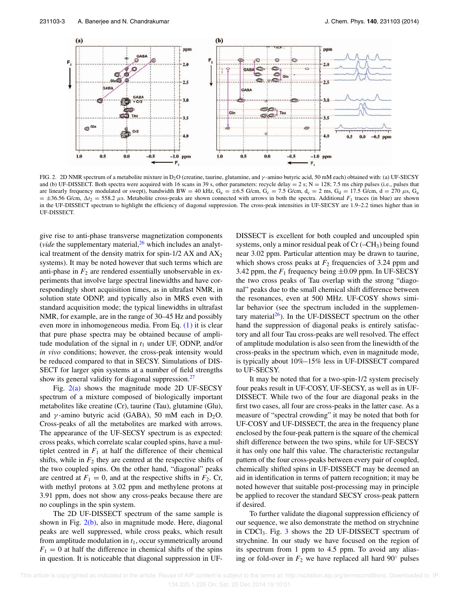

FIG. 2. 2D NMR spectrum of a metabolite mixture in D2O (creatine, taurine, glutamine, and γ -amino butyric acid, 50 mM each) obtained with: (a) UF-SECSY and (b) UF-DISSECT. Both spectra were acquired with 16 scans in 39 s, other parameters: recycle delay =  $2 \text{ s}$ ; N = 128; 7.5 ms chirp pulses (i.e., pulses that are linearly frequency modulated or swept), bandwidth BW = 40 kHz,  $G_e = \pm 6.5$  G/cm,  $G_c = 7.5$  G/cm,  $d_c = 2$  ms,  $G_d = 17.5$  G/cm,  $d = 270 \mu s$ ,  $G_a$  $= \pm 36.56$  G/cm,  $\Delta t_2 = 558.2$   $\mu$ s. Metabolite cross-peaks are shown connected with arrows in both the spectra. Additional *F*<sub>1</sub> traces (in blue) are shown in the UF-DISSECT spectrum to highlight the efficiency of diagonal suppression. The cross-peak intensities in UF-SECSY are 1.9–2.2 times higher than in UF-DISSECT.

give rise to anti-phase transverse magnetization components (*vide* the supplementary material,  $^{26}$  which includes an analytical treatment of the density matrix for spin-1/2 AX and  $AX_2$ systems). It may be noted however that such terms which are anti-phase in  $F_2$  are rendered essentially unobservable in experiments that involve large spectral linewidths and have correspondingly short acquisition times, as in ultrafast NMR, in solution state ODNP, and typically also in MRS even with standard acquisition mode; the typical linewidths in ultrafast NMR, for example, are in the range of 30–45 Hz and possibly even more in inhomogeneous media. From Eq. (1) it is clear that pure phase spectra may be obtained because of amplitude modulation of the signal in  $t_1$  under UF, ODNP, and/or *in vivo* conditions; however, the cross-peak intensity would be reduced compared to that in SECSY. Simulations of DIS-SECT for larger spin systems at a number of field strengths show its general validity for diagonal suppression.<sup>27</sup>

Fig.  $2(a)$  shows the magnitude mode 2D UF-SECSY spectrum of a mixture composed of biologically important metabolites like creatine (Cr), taurine (Tau), glutamine (Glu), and  $\gamma$ -amino butyric acid (GABA), 50 mM each in D<sub>2</sub>O. Cross-peaks of all the metabolites are marked with arrows. The appearance of the UF-SECSY spectrum is as expected: cross peaks, which correlate scalar coupled spins, have a multiplet centred in  $F_1$  at half the difference of their chemical shifts, while in  $F_2$  they are centred at the respective shifts of the two coupled spins. On the other hand, "diagonal" peaks are centred at  $F_1 = 0$ , and at the respective shifts in  $F_2$ . Cr, with methyl protons at 3.02 ppm and methylene protons at 3.91 ppm, does not show any cross-peaks because there are no couplings in the spin system.

The 2D UF-DISSECT spectrum of the same sample is shown in Fig.  $2(b)$ , also in magnitude mode. Here, diagonal peaks are well suppressed, while cross peaks, which result from amplitude modulation in *t*1, occur symmetrically around  $F_1 = 0$  at half the difference in chemical shifts of the spins in question. It is noticeable that diagonal suppression in UF- DISSECT is excellent for both coupled and uncoupled spin systems, only a minor residual peak of  $Cr(-CH_3)$  being found near 3.02 ppm. Particular attention may be drawn to taurine, which shows cross peaks at  $F_2$  frequencies of 3.24 ppm and 3.42 ppm, the  $F_1$  frequency being  $\pm 0.09$  ppm. In UF-SECSY the two cross peaks of Tau overlap with the strong "diagonal" peaks due to the small chemical shift difference between the resonances, even at 500 MHz. UF-COSY shows similar behavior (see the spectrum included in the supplementary material $26$ ). In the UF-DISSECT spectrum on the other hand the suppression of diagonal peaks is entirely satisfactory and all four Tau cross-peaks are well resolved. The effect of amplitude modulation is also seen from the linewidth of the cross-peaks in the spectrum which, even in magnitude mode, is typically about 10%–15% less in UF-DISSECT compared to UF-SECSY.

It may be noted that for a two-spin-1/2 system precisely four peaks result in UF-COSY, UF-SECSY, as well as in UF-DISSECT. While two of the four are diagonal peaks in the first two cases, all four are cross-peaks in the latter case. As a measure of "spectral crowding" it may be noted that both for UF-COSY and UF-DISSECT, the area in the frequency plane enclosed by the four-peak pattern is the square of the chemical shift difference between the two spins, while for UF-SECSY it has only one half this value. The characteristic rectangular pattern of the four cross-peaks between every pair of coupled, chemically shifted spins in UF-DISSECT may be deemed an aid in identification in terms of pattern recognition; it may be noted however that suitable post-processing may in principle be applied to recover the standard SECSY cross-peak pattern if desired.

To further validate the diagonal suppression efficiency of our sequence, we also demonstrate the method on strychnine in CDCl3. Fig. 3 shows the 2D UF-DISSECT spectrum of strychnine. In our study we have focused on the region of its spectrum from 1 ppm to 4.5 ppm. To avoid any aliasing or fold-over in  $F_2$  we have replaced all hard 90 $\degree$  pulses